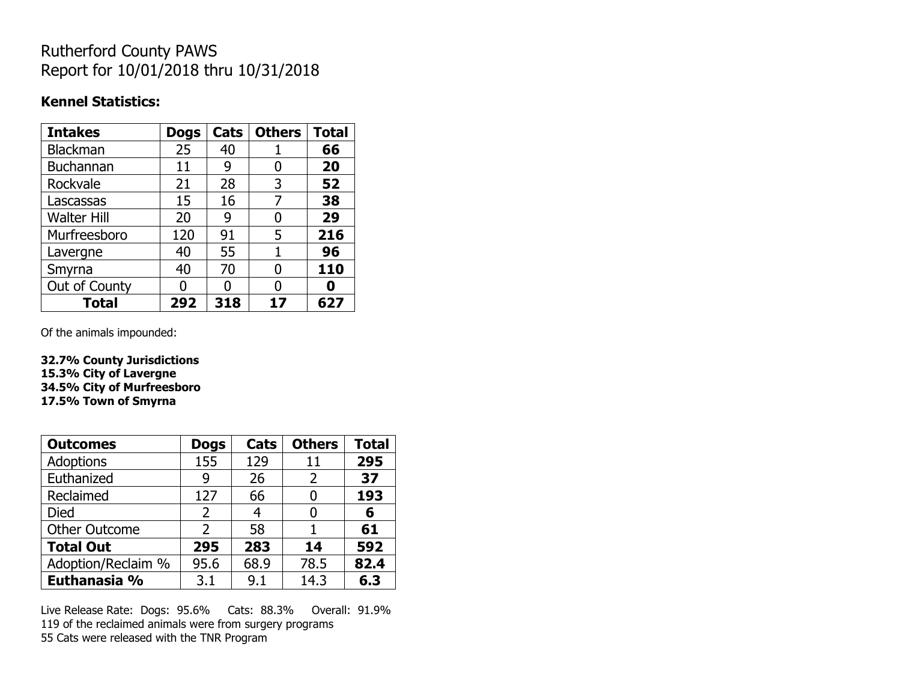## Rutherford County PAWS Report for 10/01/2018 thru 10/31/2018

#### **Kennel Statistics:**

| <b>Intakes</b>     | <b>Dogs</b> | Cats | <b>Others</b> | <b>Total</b> |
|--------------------|-------------|------|---------------|--------------|
| Blackman           | 25          | 40   |               | 66           |
| <b>Buchannan</b>   | 11          | 9    | O             | 20           |
| Rockvale           | 21          | 28   | 3             | 52           |
| Lascassas          | 15          | 16   |               | 38           |
| <b>Walter Hill</b> | 20          | 9    | O             | 29           |
| Murfreesboro       | 120         | 91   | 5             | 216          |
| Lavergne           | 40          | 55   | 1             | 96           |
| Smyrna             | 40          | 70   | O             | 110          |
| Out of County      |             | n    | O             |              |
| <b>Total</b>       | 292         | 318  | 17            | 627          |

Of the animals impounded:

**32.7% County Jurisdictions 15.3% City of Lavergne 34.5% City of Murfreesboro 17.5% Town of Smyrna**

| <b>Outcomes</b>      | <b>Dogs</b>    | <b>Cats</b> | <b>Others</b> | <b>Total</b> |
|----------------------|----------------|-------------|---------------|--------------|
| <b>Adoptions</b>     | 155            | 129         | 11            | 295          |
| Euthanized           | 9              | 26          | 2             | 37           |
| Reclaimed            | 127            | 66          | 0             | 193          |
| Died                 | $\overline{2}$ | 4           | 0             | 6            |
| <b>Other Outcome</b> | 2              | 58          |               | 61           |
| <b>Total Out</b>     | 295            | 283         | 14            | 592          |
| Adoption/Reclaim %   | 95.6           | 68.9        | 78.5          | 82.4         |
| Euthanasia %         | 3.1            | 9.1         | 14.3          | 6.3          |

Live Release Rate: Dogs: 95.6% Cats: 88.3% Overall: 91.9% 119 of the reclaimed animals were from surgery programs 55 Cats were released with the TNR Program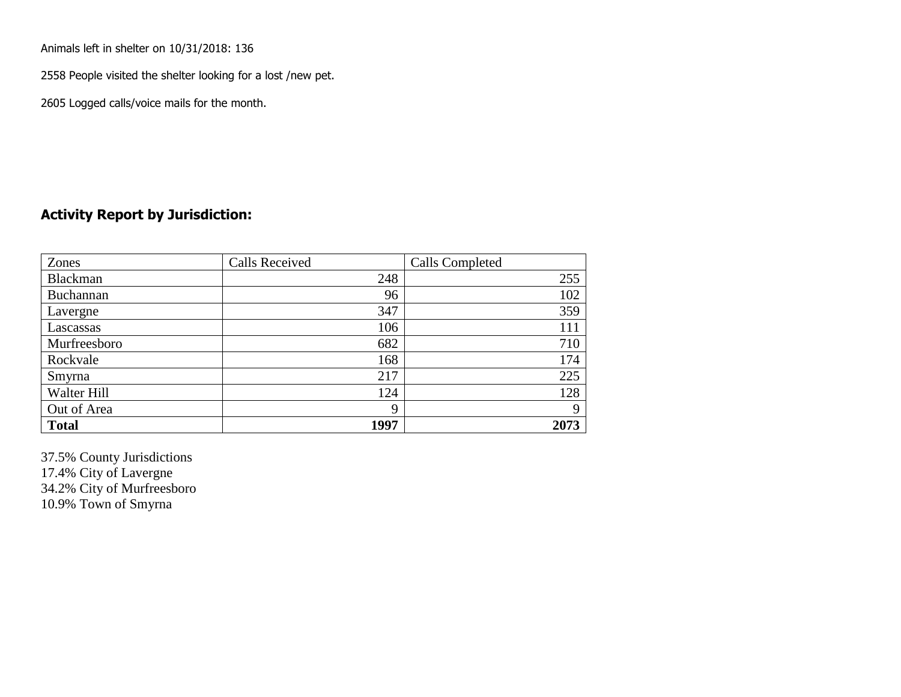Animals left in shelter on 10/31/2018: 136

2558 People visited the shelter looking for a lost /new pet.

2605 Logged calls/voice mails for the month.

### **Activity Report by Jurisdiction:**

| Zones           | <b>Calls Received</b> | Calls Completed |
|-----------------|-----------------------|-----------------|
| <b>Blackman</b> | 248                   | 255             |
| Buchannan       | 96                    | 102             |
| Lavergne        | 347                   | 359             |
| Lascassas       | 106                   | 111             |
| Murfreesboro    | 682                   | 710             |
| Rockvale        | 168                   | 174             |
| Smyrna          | 217                   | 225             |
| Walter Hill     | 124                   | 128             |
| Out of Area     | 9                     | 9               |
| <b>Total</b>    | 1997                  | 2073            |

37.5% County Jurisdictions 17.4% City of Lavergne 34.2% City of Murfreesboro 10.9% Town of Smyrna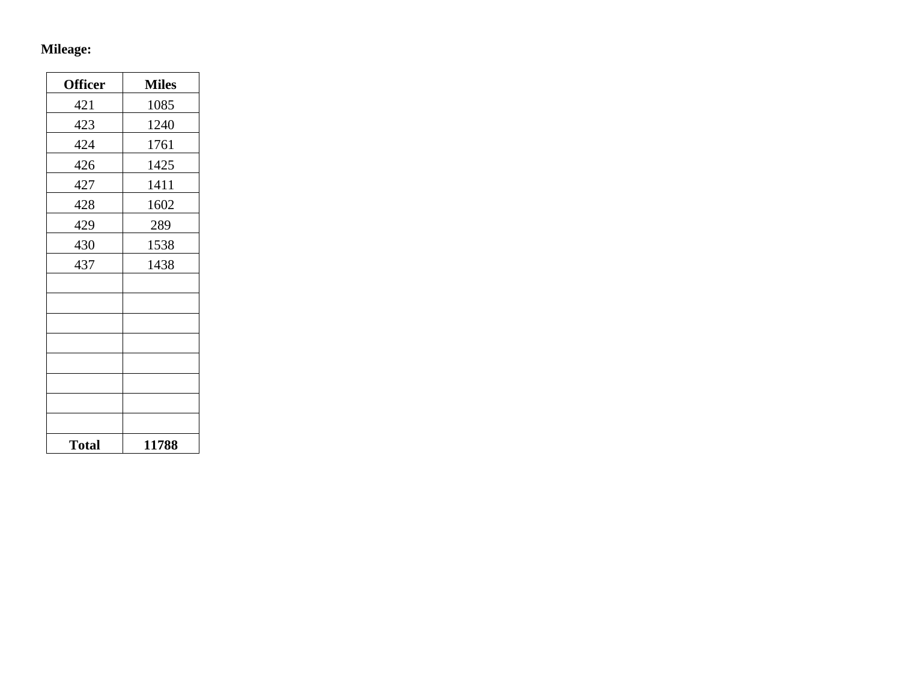# **Mileage:**

| <b>Officer</b> | <b>Miles</b> |
|----------------|--------------|
| 421            | 1085         |
| 423            | 1240         |
| 424            | 1761         |
| 426            | 1425         |
| 427            | 1411         |
| 428            | 1602         |
| 429            | 289          |
| 430            | 1538         |
| 437            | 1438         |
|                |              |
|                |              |
|                |              |
|                |              |
|                |              |
|                |              |
|                |              |
|                |              |
| <b>Total</b>   | 11788        |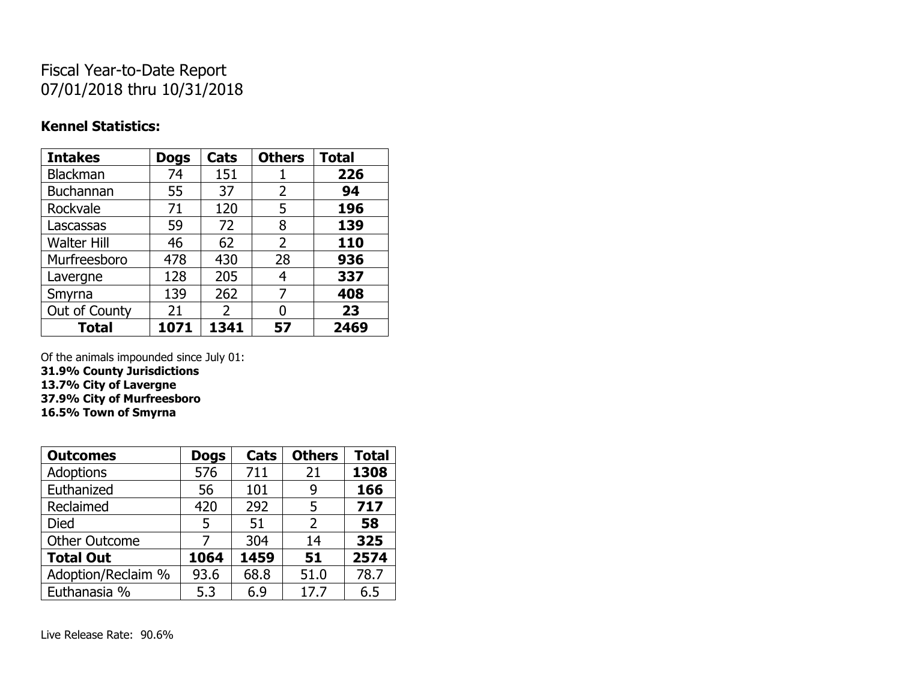## Fiscal Year-to-Date Report 07/01/2018 thru 10/31/2018

### **Kennel Statistics:**

| <b>Intakes</b>     | <b>Dogs</b> | Cats | <b>Others</b> | <b>Total</b> |
|--------------------|-------------|------|---------------|--------------|
| Blackman           | 74          | 151  |               | 226          |
| <b>Buchannan</b>   | 55          | 37   | 2             | 94           |
| Rockvale           | 71          | 120  | 5             | 196          |
| Lascassas          | 59          | 72   | 8             | 139          |
| <b>Walter Hill</b> | 46          | 62   | 2             | 110          |
| Murfreesboro       | 478         | 430  | 28            | 936          |
| Lavergne           | 128         | 205  | 4             | 337          |
| Smyrna             | 139         | 262  | 7             | 408          |
| Out of County      | 21          | 2    | 0             | 23           |
| <b>Total</b>       | 1071        | 1341 | 57            | 2469         |

Of the animals impounded since July 01:

**31.9% County Jurisdictions**

**13.7% City of Lavergne 37.9% City of Murfreesboro**

**16.5% Town of Smyrna**

| <b>Outcomes</b>      | <b>Dogs</b> | Cats | <b>Others</b>  | <b>Total</b> |
|----------------------|-------------|------|----------------|--------------|
| <b>Adoptions</b>     | 576         | 711  | 21             | 1308         |
| Euthanized           | 56          | 101  | 9              | 166          |
| Reclaimed            | 420         | 292  | 5              | 717          |
| <b>Died</b>          | 5           | 51   | $\overline{2}$ | 58           |
| <b>Other Outcome</b> |             | 304  | 14             | 325          |
| <b>Total Out</b>     | 1064        | 1459 | 51             | 2574         |
| Adoption/Reclaim %   | 93.6        | 68.8 | 51.0           | 78.7         |
| Euthanasia %         | 5.3         | 6.9  | 17.7           | 6.5          |

Live Release Rate: 90.6%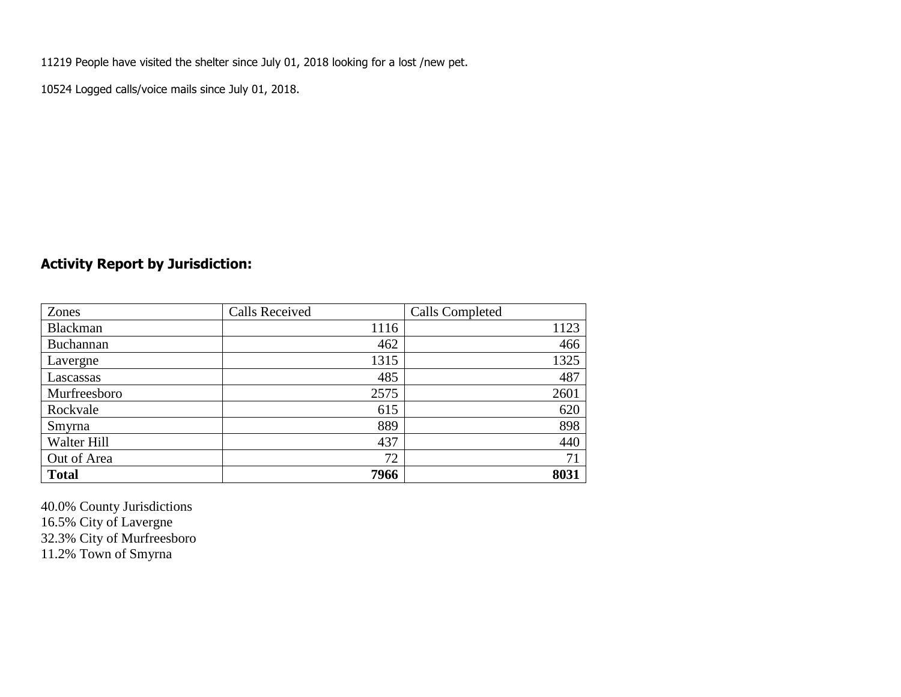11219 People have visited the shelter since July 01, 2018 looking for a lost /new pet.

10524 Logged calls/voice mails since July 01, 2018.

## **Activity Report by Jurisdiction:**

| Zones        | <b>Calls Received</b> | Calls Completed |
|--------------|-----------------------|-----------------|
| Blackman     | 1116                  | 1123            |
| Buchannan    | 462                   | 466             |
| Lavergne     | 1315                  | 1325            |
| Lascassas    | 485                   | 487             |
| Murfreesboro | 2575                  | 2601            |
| Rockvale     | 615                   | 620             |
| Smyrna       | 889                   | 898             |
| Walter Hill  | 437                   | 440             |
| Out of Area  | 72                    | 71              |
| <b>Total</b> | 7966                  | 8031            |

40.0% County Jurisdictions 16.5% City of Lavergne 32.3% City of Murfreesboro 11.2% Town of Smyrna